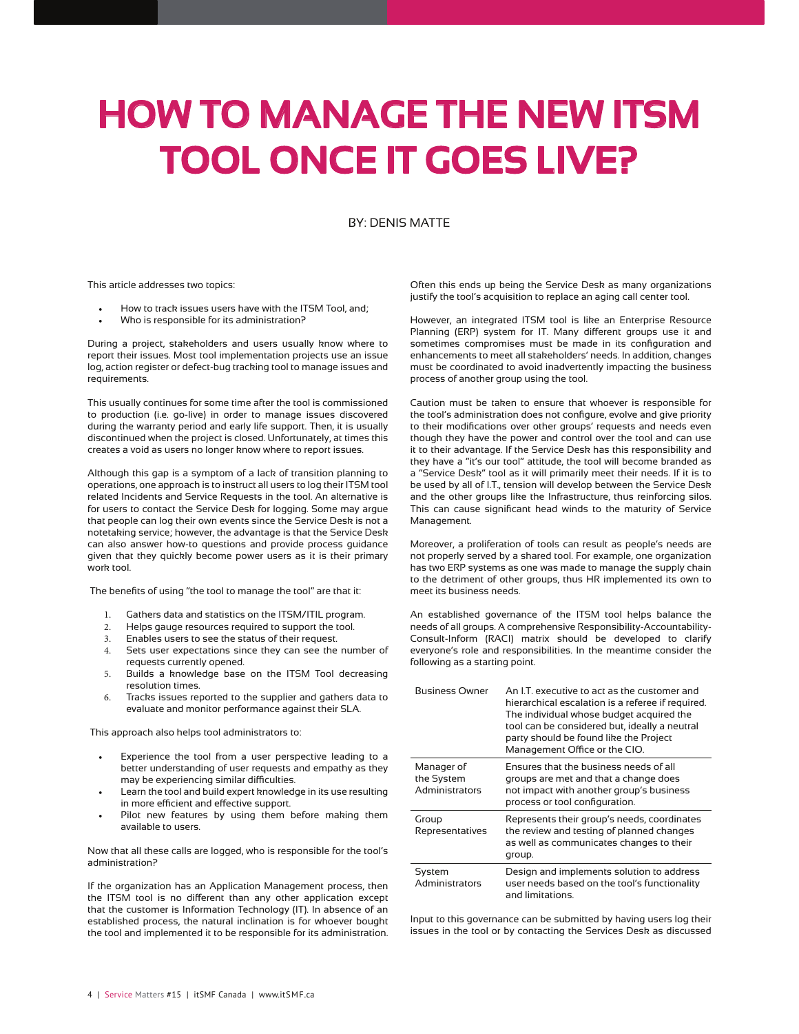# **HOW TO MANAGE THE NEW ITSM TOOL ONCE IT GOES LIVE?**

### BY: DENIS MATTE

This article addresses two topics:

- How to track issues users have with the ITSM Tool, and:
- Who is responsible for its administration?

During a project, stakeholders and users usually know where to report their issues. Most tool implementation projects use an issue log, action register or defect-bug tracking tool to manage issues and requirements.

This usually continues for some time after the tool is commissioned to production (i.e. go-live) in order to manage issues discovered during the warranty period and early life support. Then, it is usually discontinued when the project is closed. Unfortunately, at times this creates a void as users no longer know where to report issues.

Although this gap is a symptom of a lack of transition planning to operations, one approach is to instruct all users to log their ITSM tool related Incidents and Service Requests in the tool. An alternative is for users to contact the Service Desk for logging. Some may argue that people can log their own events since the Service Desk is not a notetaking service; however, the advantage is that the Service Desk can also answer how-to questions and provide process guidance given that they quickly become power users as it is their primary work tool.

The benefits of using "the tool to manage the tool" are that it:

- 1. Gathers data and statistics on the ITSM/ITIL program.<br>2. Helps gauge resources required to support the tool.
- Helps gauge resources required to support the tool.
- 3. Enables users to see the status of their request.
- 4. Sets user expectations since they can see the number of requests currently opened.
- 5. Builds a knowledge base on the ITSM Tool decreasing resolution times.
- 6. Tracks issues reported to the supplier and gathers data to evaluate and monitor performance against their SLA.

This approach also helps tool administrators to:

- Experience the tool from a user perspective leading to a better understanding of user requests and empathy as they may be experiencing similar difficulties.
- Learn the tool and build expert knowledge in its use resulting in more efficient and effective support.
- Pilot new features by using them before making them available to users.

Now that all these calls are logged, who is responsible for the tool's administration?

If the organization has an Application Management process, then the ITSM tool is no different than any other application except that the customer is Information Technology (IT). In absence of an established process, the natural inclination is for whoever bought the tool and implemented it to be responsible for its administration.

Often this ends up being the Service Desk as many organizations justify the tool's acquisition to replace an aging call center tool.

However, an integrated ITSM tool is like an Enterprise Resource Planning (ERP) system for IT. Many different groups use it and sometimes compromises must be made in its configuration and enhancements to meet all stakeholders' needs. In addition, changes must be coordinated to avoid inadvertently impacting the business process of another group using the tool.

Caution must be taken to ensure that whoever is responsible for the tool's administration does not configure, evolve and give priority to their modifications over other groups' requests and needs even though they have the power and control over the tool and can use it to their advantage. If the Service Desk has this responsibility and they have a "it's our tool" attitude, the tool will become branded as a "Service Desk" tool as it will primarily meet their needs. If it is to be used by all of I.T., tension will develop between the Service Desk and the other groups like the Infrastructure, thus reinforcing silos. This can cause significant head winds to the maturity of Service Management.

Moreover, a proliferation of tools can result as people's needs are not properly served by a shared tool. For example, one organization has two ERP systems as one was made to manage the supply chain to the detriment of other groups, thus HR implemented its own to meet its business needs.

An established governance of the ITSM tool helps balance the needs of all groups. A comprehensive Responsibility-Accountability-Consult-Inform (RACI) matrix should be developed to clarify everyone's role and responsibilities. In the meantime consider the following as a starting point.

| <b>Business Owner</b>                             | An LT executive to act as the customer and<br>hierarchical escalation is a referee if required.<br>The individual whose budget acquired the<br>tool can be considered but, ideally a neutral<br>party should be found like the Project<br>Management Office or the CIO. |
|---------------------------------------------------|-------------------------------------------------------------------------------------------------------------------------------------------------------------------------------------------------------------------------------------------------------------------------|
| Manager of<br>the System<br><b>Administrators</b> | Ensures that the business needs of all<br>groups are met and that a change does<br>not impact with another group's business<br>process or tool configuration.                                                                                                           |
| Group<br>Representatives                          | Represents their group's needs, coordinates<br>the review and testing of planned changes<br>as well as communicates changes to their<br>group.                                                                                                                          |
| System<br>Administrators                          | Design and implements solution to address<br>user needs based on the tool's functionality<br>and limitations.                                                                                                                                                           |

Input to this governance can be submitted by having users log their issues in the tool or by contacting the Services Desk as discussed